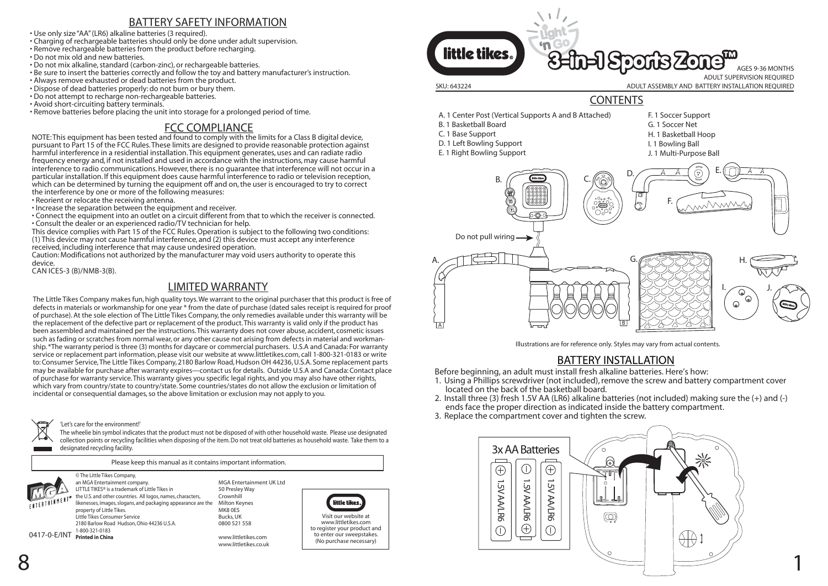# BATTERY SAFETY INFORMATION

• Use only size"AA" (LR6) alkaline batteries (3 required).

- Charging of rechargeable batteries should only be done under adult supervision.
- Remove rechargeable batteries from the product before recharging.
- Do not mix old and new batteries.
- Do not mix alkaline, standard (carbon-zinc), or rechargeable batteries.
- Be sure to insert the batteries correctly and follow the toy and battery manufacturer's instruction.
- Always remove exhausted or dead batteries from the product.
- Dispose of dead batteries properly: do not burn or bury them.
- Do not attempt to recharge non-rechargeable batteries.
- Avoid short-circuiting battery terminals.
- Remove batteries before placing the unit into storage for a prolonged period of time.

## FCC COMPLIANCE

NOTE: This equipment has been tested and found to comply with the limits for a Class B digital device, pursuant to Part 15 of the FCC Rules. These limits are designed to provide reasonable protection against harmful interference in a residential installation. This equipment generates, uses and can radiate radio frequency energy and, if not installed and used in accordance with the instructions, may cause harmful interference to radio communications. However, there is no guarantee that interference will not occur in a particular installation. If this equipment does cause harmful interference to radio or television reception, which can be determined by turning the equipment off and on, the user is encouraged to try to correct the interference by one or more of the following measures:

- Reorient or relocate the receiving antenna.
- Increase the separation between the equipment and receiver.
- Connect the equipment into an outlet on a circuit different from that to which the receiver is connected. • Consult the dealer or an experienced radio/TV technician for help.
- This device complies with Part 15 of the FCC Rules. Operation is subject to the following two conditions: (1) This device may not cause harmful interference, and (2) this device must accept any interference received, including interference that may cause undesired operation.
- Caution: Modifications not authorized by the manufacturer may void users authority to operate this device.
- CAN ICES-3 (B)/NMB-3(B).

## LIMITED WARRANTY

The Little Tikes Company makes fun, high quality toys. We warrant to the original purchaser that this product is free of defects in materials or workmanship for one year \* from the date of purchase (dated sales receipt is required for proof of purchase). At the sole election of The Little Tikes Company, the only remedies available under this warranty will be the replacement of the defective part or replacement of the product. This warranty is valid only if the product has been assembled and maintained per the instructions. This warranty does not cover abuse, accident, cosmetic issues such as fading or scratches from normal wear, or any other cause not arising from defects in material and workmanship. \*The warranty period is three (3) months for daycare or commercial purchasers. U.S.A and Canada: For warranty service or replacement part information, please visit our website at www.littletikes.com, call 1-800-321-0183 or write to: Consumer Service, The Little Tikes Company, 2180 Barlow Road, Hudson OH 44236, U.S.A. Some replacement parts may be available for purchase after warranty expires—contact us for details. Outside U.S.A and Canada: Contact place of purchase for warranty service. This warranty gives you specific legal rights, and you may also have other rights, which vary from country/state to country/state. Some countries/states do not allow the exclusion or limitation of incidental or consequential damages, so the above limitation or exclusion may not apply to you.

#### 'Let's care for the environment!'

The wheelie bin symbol indicates that the product must not be disposed of with other household waste. Please use designated collection points or recycling facilities when disposing of the item. Do not treat old batteries as household waste. Take them to a designated recycling facility.

Please keep this manual as it contains important information. © The Little Tikes Company,



an MGA Entertainment company. LITTLE TIKES® is a trademark of Little Tikes in the U.S. and other countries. All logos, names, characters, likenesses, images, slogans, and packaging appearance are the property of Little Tikes. Little Tikes Consumer Service 2180 Barlow Road Hudson, Ohio 44236 U.S.A. 1-800-321-0183 0417-0-E/INT **Printed in China**

MGA Entertainment UK Ltd 50 Presley Way Crownhill Milton Keynes MK8 0ES Bucks, UK 0800 521 558

www.littletikes.com www.littletikes.co.uk



www.littletikes.com to register your product and to enter our sweepstakes. (No purchase necessary)



# **CONTENTS**

- A. 1 Center Post (Vertical Supports A and B Attached)
- B. 1 Basketball Board
- C. 1 Base Support
- D. 1 Left Bowling Support
- E. 1 Right Bowling Support
- F. 1 Soccer Support
- G. 1 Soccer Net
- H. 1 Basketball Hoop
- I. 1 Bowling Ball
- J. 1 Multi-Purpose Ball



Illustrations are for reference only. Styles may vary from actual contents.

# BATTERY INSTALLATION

Before beginning, an adult must install fresh alkaline batteries. Here's how:

- 1. Using a Phillips screwdriver (not included), remove the screw and battery compartment cover located on the back of the basketball board.
- 2. Install three (3) fresh 1.5V AA (LR6) alkaline batteries (not included) making sure the (+) and (-) ends face the proper direction as indicated inside the battery compartment.
- 3. Replace the compartment cover and tighten the screw.

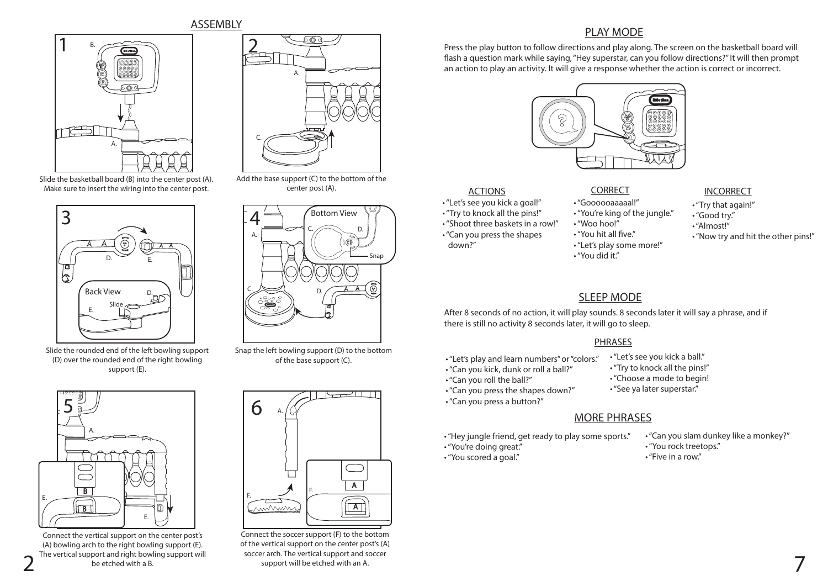ASSEMBLY



Slide the basketball board (B) into the center post (A). Make sure to insert the wiring into the center post.



Slide the rounded end of the left bowling support (D) over the rounded end of the right bowling support (E).



The vertical support and right bowling support will soccer arch. The vertical support and soccer<br>
2<sup>The vertical support and right bowling support will be etched with an A.</sup> Connect the vertical support on the center post's (A) bowling arch to the right bowling support (E). The vertical support and right bowling support will be etched with a B.



Add the base support (C) to the bottom of the center post (A).



Snap the left bowling support (D) to the bottom of the base support (C).



Connect the soccer support (F) to the bottom of the vertical support on the center post's (A) soccer arch. The vertical support and soccer support will be etched with an A.

## PLAY MODE

Press the play button to follow directions and play along. The screen on the basketball board will flash a question mark while saying, "Hey superstar, can you follow directions?" It will then prompt an action to play an activity. It will give a response whether the action is correct or incorrect.



### ACTIONS

• "Let's see you kick a goal!"

- "Try to knock all the pins!"
- "Shoot three baskets in a row!"
- "Can you press the shapes down?"

- "Goooooaaaaal!" • "You're king of the jungle."
- "Woo hoo!"
- "You hit all five."
- 
- "Let's play some more!"
- "You did it."

#### CORRECT INCORRECT

- "Try that again!"
- "Good try."
- "Almost!"
- "Now try and hit the other pins!"

# SLEEP MODE

After 8 seconds of no action, it will play sounds. 8 seconds later it will say a phrase, and if there is still no activity 8 seconds later, it will go to sleep.

#### PHRASES

- "Let's play and learn numbers" or "colors." • "Let's see you kick a ball." • "Try to knock all the pins!"
- "Can you kick, dunk or roll a ball?"
- "Can you roll the ball?"
- "Can you press the shapes down?"
- "Can you press a button?"

# MORE PHRASES

- "Hey jungle friend, get ready to play some sports."
- 

• "See ya later superstar."

• "Choose a mode to begin!

- "Can you slam dunkey like a monkey?"
- "You rock treetops."
- "Five in a row."

- 
- - -
		- "You're doing great."
		- "You scored a goal."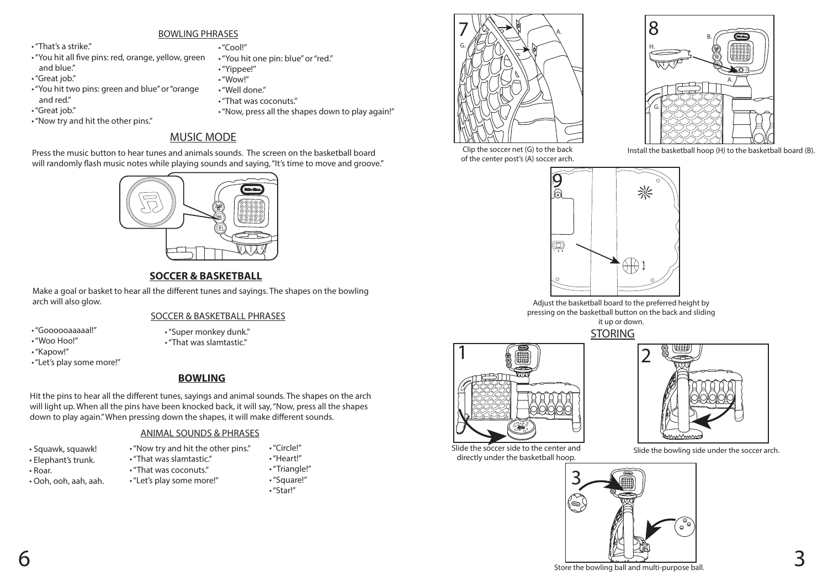#### BOWLING PHRASES

- "That's a strike."
- "You hit all five pins: red, orange, yellow, green and blue."
- "Great job."
- "You hit two pins: green and blue" or "orange and red."
- "Great job."
- "Now try and hit the other pins."
- "Cool!"
- "You hit one pin: blue" or "red." • "Yippee!"
- "Wow!"
- "Well done."
- "That was coconuts."
- "Now, press all the shapes down to play again!"

# MUSIC MODE

Press the music button to hear tunes and animals sounds. The screen on the basketball board will randomly flash music notes while playing sounds and saying, "It's time to move and groove."

# **SOCCER & BASKETBALL**

Make a goal or basket to hear all the different tunes and sayings. The shapes on the bowling arch will also glow.

### SOCCER & BASKETBALL PHRASES

- "Goooooaaaaal!" • "Woo Hoo!"
- "Super monkey dunk."
- "That was slamtastic."
- "Kapow!"
- "Let's play some more!"

# **BOWLING**

Hit the pins to hear all the different tunes, sayings and animal sounds. The shapes on the arch will light up. When all the pins have been knocked back, it will say, "Now, press all the shapes down to play again." When pressing down the shapes, it will make different sounds.

### ANIMAL SOUNDS & PHRASES

• "Now try and hit the other pins."

- Squawk, squawk!
- Elephant's trunk.
- Roar.
- Ooh, ooh, aah, aah.
- "That was slamtastic." • "That was coconuts."
- "Let's play some more!" • "Triangle!"
	- "Square!" • "Star!"

• "Circle!" • "Heart!"





of the center post's (A) soccer arch.

Clip the soccer net (G) to the back Install the basketball hoop (H) to the basketball board (B).



Adjust the basketball board to the preferred height by pressing on the basketball button on the back and sliding

it up or down.



Slide the soccer side to the center and directly under the basketball hoop.



Slide the bowling side under the soccer arch.